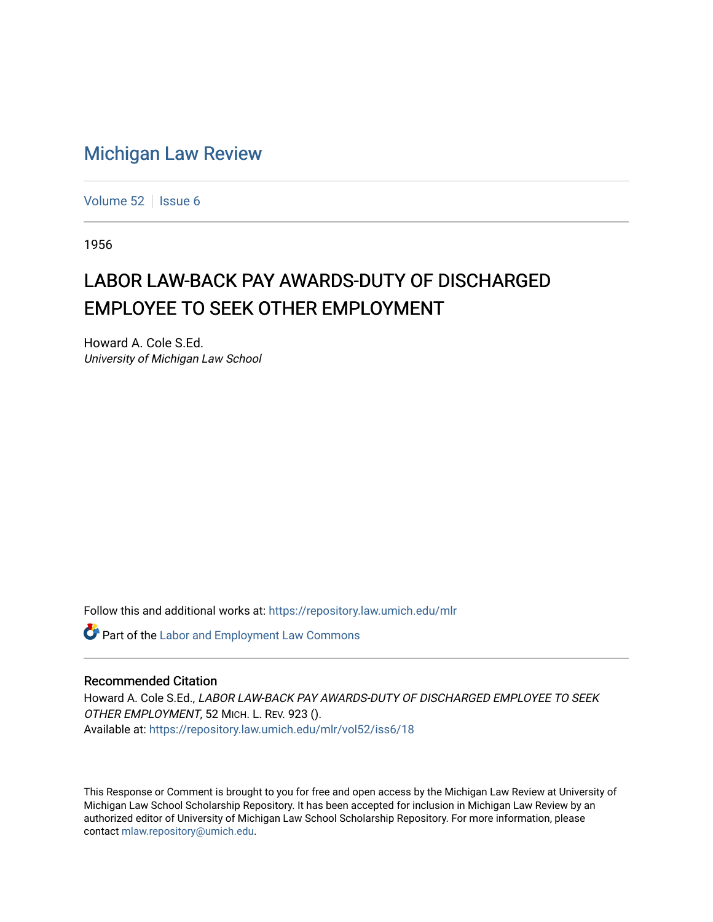## [Michigan Law Review](https://repository.law.umich.edu/mlr)

[Volume 52](https://repository.law.umich.edu/mlr/vol52) | [Issue 6](https://repository.law.umich.edu/mlr/vol52/iss6)

1956

## LABOR LAW-BACK PAY AWARDS-DUTY OF DISCHARGED EMPLOYEE TO SEEK OTHER EMPLOYMENT

Howard A. Cole S.Ed. University of Michigan Law School

Follow this and additional works at: [https://repository.law.umich.edu/mlr](https://repository.law.umich.edu/mlr?utm_source=repository.law.umich.edu%2Fmlr%2Fvol52%2Fiss6%2F18&utm_medium=PDF&utm_campaign=PDFCoverPages) 

**Part of the [Labor and Employment Law Commons](http://network.bepress.com/hgg/discipline/909?utm_source=repository.law.umich.edu%2Fmlr%2Fvol52%2Fiss6%2F18&utm_medium=PDF&utm_campaign=PDFCoverPages)** 

## Recommended Citation

Howard A. Cole S.Ed., LABOR LAW-BACK PAY AWARDS-DUTY OF DISCHARGED EMPLOYEE TO SEEK OTHER EMPLOYMENT, 52 MICH. L. REV. 923 (). Available at: [https://repository.law.umich.edu/mlr/vol52/iss6/18](https://repository.law.umich.edu/mlr/vol52/iss6/18?utm_source=repository.law.umich.edu%2Fmlr%2Fvol52%2Fiss6%2F18&utm_medium=PDF&utm_campaign=PDFCoverPages) 

This Response or Comment is brought to you for free and open access by the Michigan Law Review at University of Michigan Law School Scholarship Repository. It has been accepted for inclusion in Michigan Law Review by an authorized editor of University of Michigan Law School Scholarship Repository. For more information, please contact [mlaw.repository@umich.edu](mailto:mlaw.repository@umich.edu).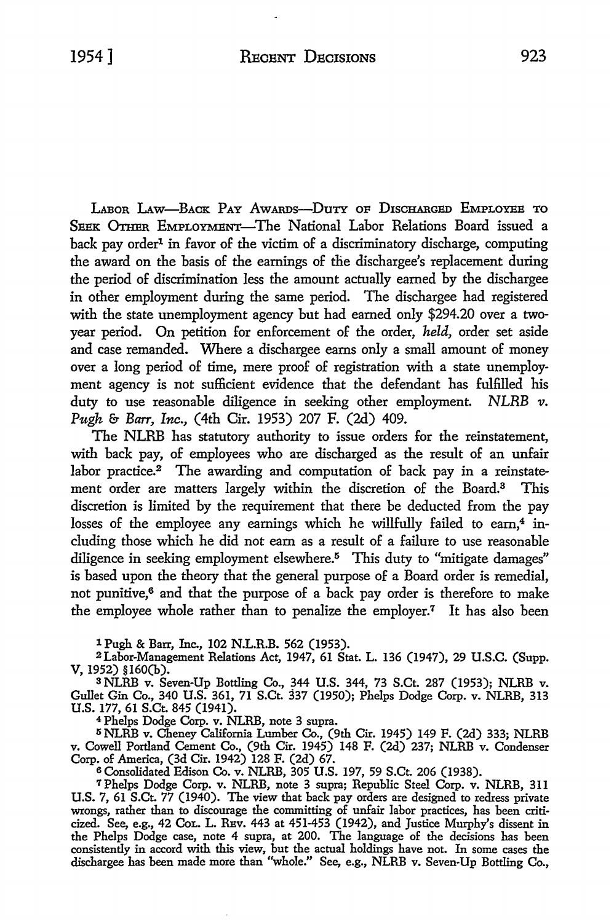LA.Boa LAw-BACK PAY AwARDs-DuTY OF D1sCHARGED EMPLOYEE To SEEK OTHER EMPLOYMENT-The National Labor Relations Board issued a back pay order<sup>1</sup> in favor of the victim of a discriminatory discharge, computing the award on the basis of the earnings of the dischargee's replacement during the period of discrimination less the amount actually earned by the dischargee in other employment during the same period. The dischargee had registered with the state unemployment agency but had earned only \$294.20 over a twoyear period. On petition for enforcement of the order, *held,* order set aside and case remanded. Where a dischargee earns only a small amount of money over a long period of time, mere proof of registration with a state unemployment agency is not sufficient evidence that the defendant has fulfilled his duty to use reasonable diligence in seeking other employment. *NLRB v. Pugh* & *Barr, Inc.,* (4th Cir. 1953) 207 F. (2d) 409.

The NLRB has statutory authority to issue orders for the reinstatement, with back pay, of employees who are discharged as the result of an unfair labor practice.<sup>2</sup> The awarding and computation of back pay in a reinstatement order are matters largely within the discretion of the Board.3 This discretion is limited by the requirement that there be deducted from the pay losses of the employee any earnings which he willfully failed to earn,<sup>4</sup> including those which he did not earn as a result of a failure to use reasonable diligence in seeking employment elsewhere.<sup>5</sup> This duty to "mitigate damages" is based upon the theory that the general purpose of a Board order is remedial, not punitive,<sup>6</sup> and that the purpose of a back pay order is therefore to make the employee whole rather than to penalize the employer.<sup>7</sup> It has also been

l Pugh & Barr, Inc., 102 N.L.R.B. 562 (1953).

<sup>2</sup> Labor-Management Relations Act, 1947, 61 Stat. L. 136 (1947), 29 U.S.C. (Supp. V, 1952) §160(b).

s NLRB v. Seven-Up Bottling Co., 344 U.S. 344, 73 S.Ct. 287 (1953); NLRB v. Gullet Gin Co., 340 U.S. 361, 71 S.Ct. 337 (1950); Phelps Dodge Corp. v. NLRB, 313 U.S. 177, 61 S.Ct. 845 (1941).<br>4 Phelps Dodge Corp. v. NLRB, note 3 supra.

<sup>4</sup> Phelps Dodge Corp. v. NLRB, note 3 supra.<br><sup>5</sup> NLRB v. Cheney California Lumber Co., (9th Cir. 1945) 149 F. (2d) 333; NLRB v. Cowell Portland Cement Co., (9th Cir. 1945) 148 F. (2d) 237; NLRB v. Condenser Corp. of America, (3d Cir. 1942) 128 F. (2d) 67.

<sup>6</sup>Consolidated Edison Co. v. NLRB, 305 U.S. 197, 59 S.Ct. 206 (1938).

7 Phelps Dodge Corp. v. NLRB, note 3 supra; Republic Steel Corp. v. NLRB, 311 **U.S.** 7, 61 S.Ct. 77 (1940). The view that back pay orders are designed to redress private wrongs, rather than to discourage the committing of unfair labor practices, has been criticized. See, e.g., 42 CoL. L. REv. 443 at 451-453 (1942), and Justice Murphy's dissent in the Phelps Dodge case, note 4 supra, at 200. The language of the decisions has been consistently in accord with this view, but the actual holdings have not. In some cases the dischargee has been made more than "whole." See, e.g., NLRB v. Seven-Up Bottling Co.,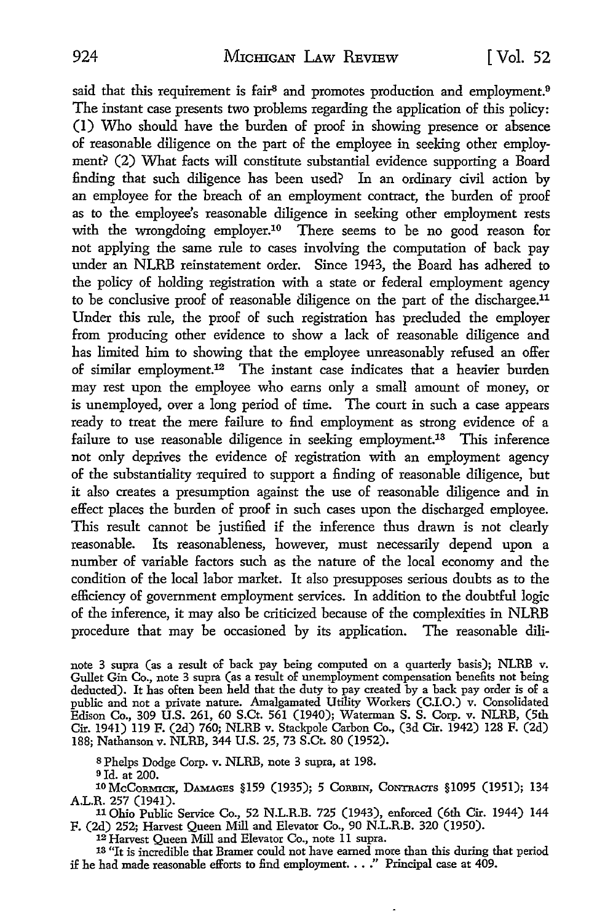said that this requirement is fair<sup>8</sup> and promotes production and employment.<sup>9</sup> The instant case presents two problems regarding the application of this policy: (I) Who should have the burden of proof in showing presence or absence of reasonable diligence on the part of the employee in seeking other employment? (2) What facts will constitute substantial evidence supporting a Board finding that such diligence has been used? In an ordinary civil action by an employee for the breach of an employment contract, the burden of proof as to the employee's reasonable diligence in seeking other employment rests with the wrongdoing employer.<sup>10</sup> There seems to be no good reason for not applying the same rule to cases involving the computation of back pay under an NLRB reinstatement order. Since 1943, the Board has adhered to the policy of holding registration with a state or federal employment agency to be conclusive proof of reasonable diligence on the part of the dischargee.11 Under this rule, the proof of such registration has precluded the employer from producing other evidence to show a lack of reasonable diligence and has limited him to showing that the employee unreasonably refused an offer of similar employment.<sup>12</sup> The instant case indicates that a heavier burden may rest upon the employee who earns only a small amount of money, or is unemployed, over a long period of time. The court in such a case appears ready to treat the mere failure to find employment as strong evidence of a failure to use reasonable diligence in seeking employment.<sup>13</sup> This inference not only deprives the evidence of registration with an employment agency of the substantiality required to support a finding of reasonable diligence, but it also creates a presumption against the use of reasonable diligence and in effect places the burden of proof in such cases upon the discharged employee. This result cannot be justified if the inference thus drawn is not clearly reasonable. Its reasonableness, however, must necessarily depend upon a number of variable factors such as the nature of the local economy and the condition of the local labor market. It also presupposes serious doubts as to the efficiency of government employment services. In addition to the doubtful logic of the inference, it may also be criticized because of the complexities in NLRB procedure that may be occasioned by its application. The reasonable dili-

note 3 supra (as a result of back pay being computed on a quarterly basis); NLRB v. Gullet Gin Co., note 3 supra (as a result of unemployment compensation benefits not being deducted). It has often been held that the duty to pay created by a back pay order is of a public and not a private nature. Amalgamated Utility Workers (C.I.O.) v. Consolidated Edison Co., 309 U.S. 261, 60 S.Ct. 561 (1940); Waterman S. S. Corp. v. NLRB, (5th Cir. 1941) 119 F. (2d) 760; NLRB v. Stackpole Carbon Co., (3d Cir. 1942) 128 F. (2d) 188; Nathanson v. NLRB, 344 U.S. 25, 73 S.Ct. 80 (1952).

s Phelps Dodge Corp. v. NLRB, note 3 supra, at 198.

9Id. at 200.

10 McCORMICK, DAMAGES §159 (1935); 5 CORBIN, CONTRACTS §1095 (1951); 134 A.L.R. 257 (1941).

11 Ohio Public Service Co., 52 N.L.R.B. 725 (1943), enforced (6th Cir. 1944) 144 F. (2d) 252; Harvest Queen Mill and Elevator Co., 90 N.L.R.B. 320 (1950).

12 Harvest Queen Mill and Elevator Co., note 11 supra.

13 "It is incredible that Bramer could not have earned more than this during that period if he had made reasonable efforts to find employment. . . ." Principal case at 409.